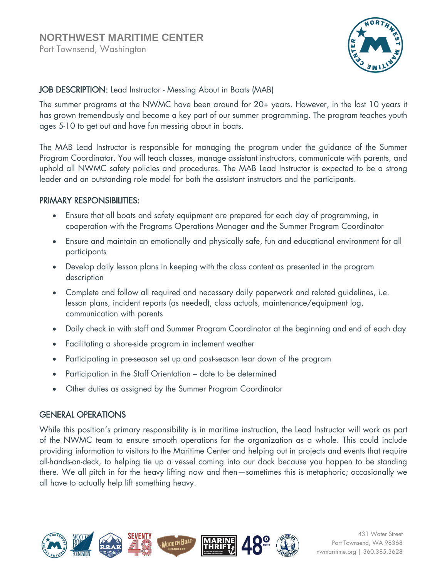

### JOB DESCRIPTION: Lead Instructor - Messing About in Boats (MAB)

The summer programs at the NWMC have been around for 20+ years. However, in the last 10 years it has grown tremendously and become a key part of our summer programming. The program teaches youth ages 5-10 to get out and have fun messing about in boats.

The MAB Lead Instructor is responsible for managing the program under the guidance of the Summer Program Coordinator. You will teach classes, manage assistant instructors, communicate with parents, and uphold all NWMC safety policies and procedures. The MAB Lead Instructor is expected to be a strong leader and an outstanding role model for both the assistant instructors and the participants.

#### PRIMARY RESPONSIBILITIES:

- Ensure that all boats and safety equipment are prepared for each day of programming, in cooperation with the Programs Operations Manager and the Summer Program Coordinator
- Ensure and maintain an emotionally and physically safe, fun and educational environment for all participants
- Develop daily lesson plans in keeping with the class content as presented in the program description
- Complete and follow all required and necessary daily paperwork and related guidelines, i.e. lesson plans, incident reports (as needed), class actuals, maintenance/equipment log, communication with parents
- Daily check in with staff and Summer Program Coordinator at the beginning and end of each day
- Facilitating a shore-side program in inclement weather
- Participating in pre-season set up and post-season tear down of the program
- Participation in the Staff Orientation date to be determined
- Other duties as assigned by the Summer Program Coordinator

# GENERAL OPERATIONS

While this position's primary responsibility is in maritime instruction, the Lead Instructor will work as part of the NWMC team to ensure smooth operations for the organization as a whole. This could include providing information to visitors to the Maritime Center and helping out in projects and events that require all-hands-on-deck, to helping tie up a vessel coming into our dock because you happen to be standing there. We all pitch in for the heavy lifting now and then—sometimes this is metaphoric; occasionally we all have to actually help lift something heavy.

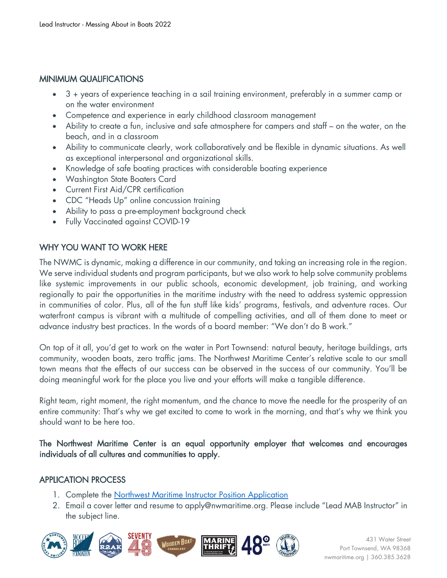## MINIMUM QUALIFICATIONS

- 3 + years of experience teaching in a sail training environment, preferably in a summer camp or on the water environment
- Competence and experience in early childhood classroom management
- Ability to create a fun, inclusive and safe atmosphere for campers and staff on the water, on the beach, and in a classroom
- Ability to communicate clearly, work collaboratively and be flexible in dynamic situations. As well as exceptional interpersonal and organizational skills.
- Knowledge of safe boating practices with considerable boating experience
- Washington State Boaters Card
- Current First Aid/CPR certification
- CDC "Heads Up" online concussion training
- Ability to pass a pre-employment background check
- Fully Vaccinated against COVID-19

# WHY YOU WANT TO WORK HERE

The NWMC is dynamic, making a difference in our community, and taking an increasing role in the region. We serve individual students and program participants, but we also work to help solve community problems like systemic improvements in our public schools, economic development, job training, and working regionally to pair the opportunities in the maritime industry with the need to address systemic oppression in communities of color. Plus, all of the fun stuff like kids' programs, festivals, and adventure races. Our waterfront campus is vibrant with a multitude of compelling activities, and all of them done to meet or advance industry best practices. In the words of a board member: "We don't do B work."

On top of it all, you'd get to work on the water in Port Townsend: natural beauty, heritage buildings, arts community, wooden boats, zero traffic jams. The Northwest Maritime Center's relative scale to our small town means that the effects of our success can be observed in the success of our community. You'll be doing meaningful work for the place you live and your efforts will make a tangible difference.

Right team, right moment, the right momentum, and the chance to move the needle for the prosperity of an entire community: That's why we get excited to come to work in the morning, and that's why we think you should want to be here too.

The Northwest Maritime Center is an equal opportunity employer that welcomes and encourages individuals of all cultures and communities to apply.

# APPLICATION PROCESS

- 1. Complete the [Northwest Maritime Instructor Position Application](https://forms.gle/6d5FgapF4vkddjWj9)
- 2. Email a cover letter and resume to apply@nwmaritime.org. Please include "Lead MAB Instructor" in the subject line.